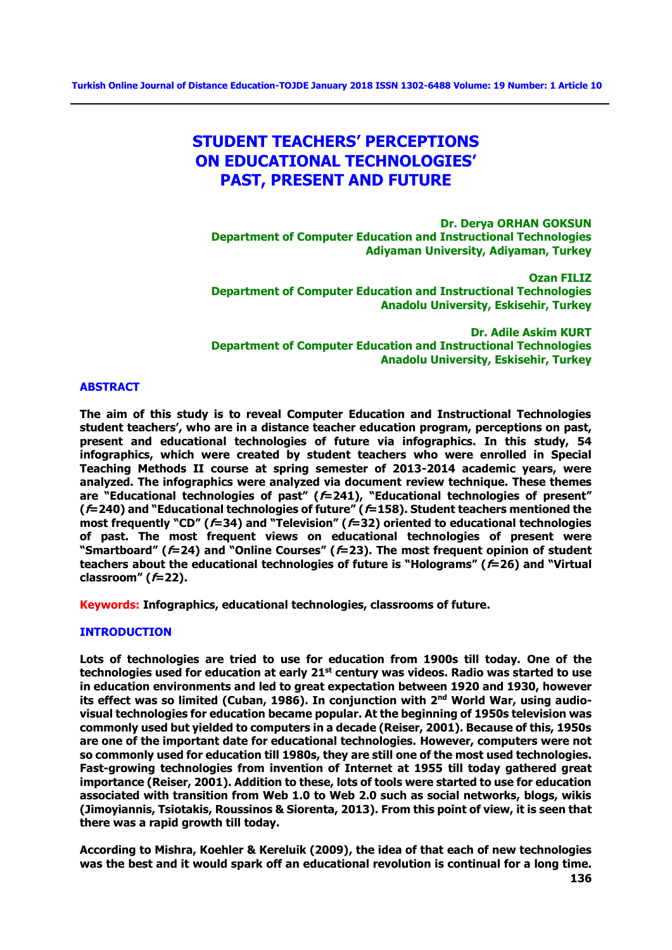# **STUDENT TEACHERS' PERCEPTIONS ON EDUCATIONAL TECHNOLOGIES' PAST, PRESENT AND FUTURE**

**Dr. Derya ORHAN GOKSUN Department of Computer Education and Instructional Technologies Adiyaman University, Adiyaman, Turkey**

**Ozan FILIZ Department of Computer Education and Instructional Technologies Anadolu University, Eskisehir, Turkey**

**Dr. Adile Askim KURT Department of Computer Education and Instructional Technologies Anadolu University, Eskisehir, Turkey**

## **ABSTRACT**

**The aim of this study is to reveal Computer Education and Instructional Technologies student teachers', who are in a distance teacher education program, perceptions on past, present and educational technologies of future via infographics. In this study, 54 infographics, which were created by student teachers who were enrolled in Special Teaching Methods II course at spring semester of 2013-2014 academic years, were analyzed. The infographics were analyzed via document review technique. These themes are "Educational technologies of past" (f=241), "Educational technologies of present" (f=240) and "Educational technologies of future" (f=158). Student teachers mentioned the most frequently "CD" (f=34) and "Television" (f=32) oriented to educational technologies of past. The most frequent views on educational technologies of present were "Smartboard" (f=24) and "Online Courses" (f=23). The most frequent opinion of student teachers about the educational technologies of future is "Holograms" (f=26) and "Virtual classroom" (f=22).**

**Keywords: Infographics, educational technologies, classrooms of future.**

#### **INTRODUCTION**

**Lots of technologies are tried to use for education from 1900s till today. One of the technologies used for education at early 21st century was videos. Radio was started to use in education environments and led to great expectation between 1920 and 1930, however**  its effect was so limited (Cuban, 1986). In conjunction with 2<sup>nd</sup> World War, using audio**visual technologies for education became popular. At the beginning of 1950s television was commonly used but yielded to computers in a decade (Reiser, 2001). Because of this, 1950s are one of the important date for educational technologies. However, computers were not so commonly used for education till 1980s, they are still one of the most used technologies. Fast-growing technologies from invention of Internet at 1955 till today gathered great importance (Reiser, 2001). Addition to these, lots of tools were started to use for education associated with transition from Web 1.0 to Web 2.0 such as social networks, blogs, wikis (Jimoyiannis, Tsiotakis, Roussinos & Siorenta, 2013). From this point of view, it is seen that there was a rapid growth till today.**

**According to Mishra, Koehler & Kereluik (2009), the idea of that each of new technologies was the best and it would spark off an educational revolution is continual for a long time.**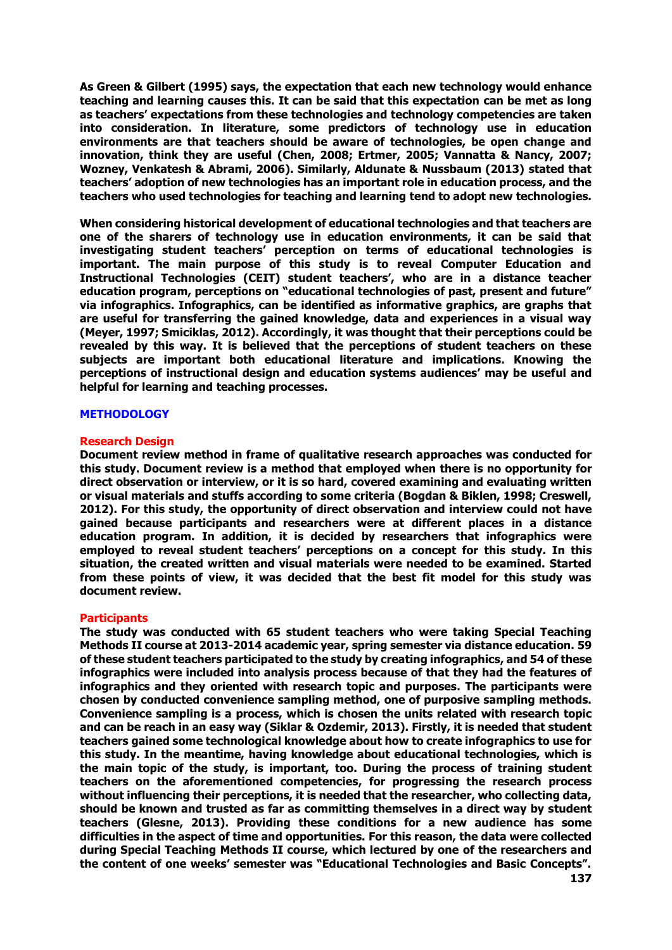**As Green & Gilbert (1995) says, the expectation that each new technology would enhance teaching and learning causes this. It can be said that this expectation can be met as long as teachers' expectations from these technologies and technology competencies are taken into consideration. In literature, some predictors of technology use in education environments are that teachers should be aware of technologies, be open change and innovation, think they are useful (Chen, 2008; Ertmer, 2005; Vannatta & Nancy, 2007; Wozney, Venkatesh & Abrami, 2006). Similarly, Aldunate & Nussbaum (2013) stated that teachers' adoption of new technologies has an important role in education process, and the teachers who used technologies for teaching and learning tend to adopt new technologies.** 

**When considering historical development of educational technologies and that teachers are one of the sharers of technology use in education environments, it can be said that investigating student teachers' perception on terms of educational technologies is important. The main purpose of this study is to reveal Computer Education and Instructional Technologies (CEIT) student teachers', who are in a distance teacher education program, perceptions on "educational technologies of past, present and future" via infographics. Infographics, can be identified as informative graphics, are graphs that are useful for transferring the gained knowledge, data and experiences in a visual way (Meyer, 1997; Smiciklas, 2012). Accordingly, it was thought that their perceptions could be revealed by this way. It is believed that the perceptions of student teachers on these subjects are important both educational literature and implications. Knowing the perceptions of instructional design and education systems audiences' may be useful and helpful for learning and teaching processes.**

#### **METHODOLOGY**

#### **Research Design**

**Document review method in frame of qualitative research approaches was conducted for this study. Document review is a method that employed when there is no opportunity for direct observation or interview, or it is so hard, covered examining and evaluating written or visual materials and stuffs according to some criteria (Bogdan & Biklen, 1998; Creswell, 2012). For this study, the opportunity of direct observation and interview could not have gained because participants and researchers were at different places in a distance education program. In addition, it is decided by researchers that infographics were employed to reveal student teachers' perceptions on a concept for this study. In this situation, the created written and visual materials were needed to be examined. Started from these points of view, it was decided that the best fit model for this study was document review.** 

#### **Participants**

**The study was conducted with 65 student teachers who were taking Special Teaching Methods II course at 2013-2014 academic year, spring semester via distance education. 59 of these student teachers participated to the study by creating infographics, and 54 of these infographics were included into analysis process because of that they had the features of infographics and they oriented with research topic and purposes. The participants were chosen by conducted convenience sampling method, one of purposive sampling methods. Convenience sampling is a process, which is chosen the units related with research topic and can be reach in an easy way (Siklar & Ozdemir, 2013). Firstly, it is needed that student teachers gained some technological knowledge about how to create infographics to use for this study. In the meantime, having knowledge about educational technologies, which is the main topic of the study, is important, too. During the process of training student teachers on the aforementioned competencies, for progressing the research process without influencing their perceptions, it is needed that the researcher, who collecting data, should be known and trusted as far as committing themselves in a direct way by student teachers (Glesne, 2013). Providing these conditions for a new audience has some difficulties in the aspect of time and opportunities. For this reason, the data were collected during Special Teaching Methods II course, which lectured by one of the researchers and the content of one weeks' semester was "Educational Technologies and Basic Concepts".**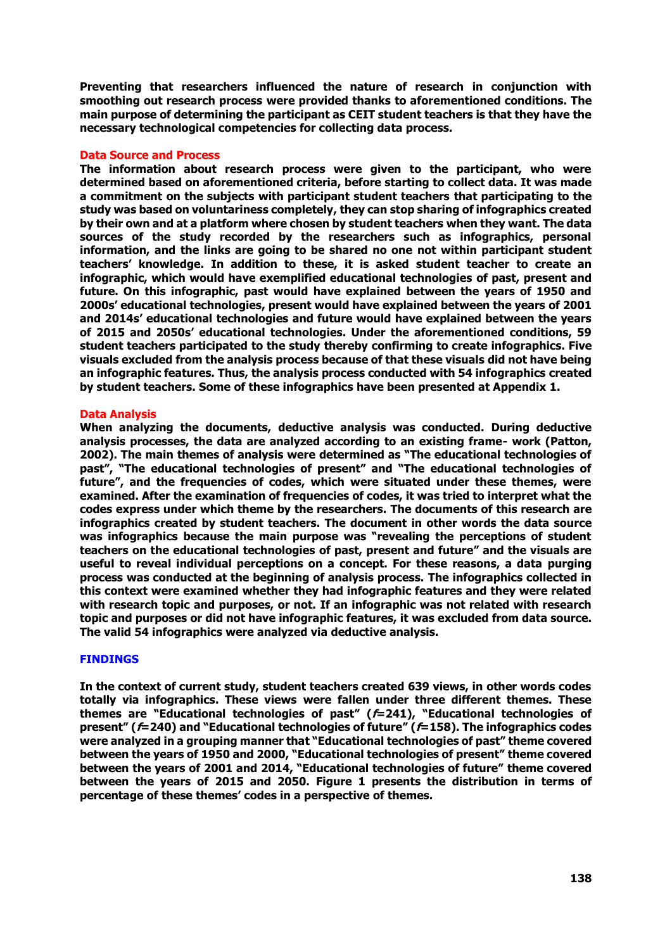**Preventing that researchers influenced the nature of research in conjunction with smoothing out research process were provided thanks to aforementioned conditions. The main purpose of determining the participant as CEIT student teachers is that they have the necessary technological competencies for collecting data process.** 

## **Data Source and Process**

**The information about research process were given to the participant, who were determined based on aforementioned criteria, before starting to collect data. It was made a commitment on the subjects with participant student teachers that participating to the study was based on voluntariness completely, they can stop sharing of infographics created by their own and at a platform where chosen by student teachers when they want. The data sources of the study recorded by the researchers such as infographics, personal information, and the links are going to be shared no one not within participant student teachers' knowledge. In addition to these, it is asked student teacher to create an infographic, which would have exemplified educational technologies of past, present and future. On this infographic, past would have explained between the years of 1950 and 2000s' educational technologies, present would have explained between the years of 2001 and 2014s' educational technologies and future would have explained between the years of 2015 and 2050s' educational technologies. Under the aforementioned conditions, 59 student teachers participated to the study thereby confirming to create infographics. Five visuals excluded from the analysis process because of that these visuals did not have being an infographic features. Thus, the analysis process conducted with 54 infographics created by student teachers. Some of these infographics have been presented at Appendix 1.**

# **Data Analysis**

**When analyzing the documents, deductive analysis was conducted. During deductive analysis processes, the data are analyzed according to an existing frame- work (Patton, 2002). The main themes of analysis were determined as "The educational technologies of past", "The educational technologies of present" and "The educational technologies of future", and the frequencies of codes, which were situated under these themes, were examined. After the examination of frequencies of codes, it was tried to interpret what the codes express under which theme by the researchers. The documents of this research are infographics created by student teachers. The document in other words the data source was infographics because the main purpose was "revealing the perceptions of student teachers on the educational technologies of past, present and future" and the visuals are useful to reveal individual perceptions on a concept. For these reasons, a data purging process was conducted at the beginning of analysis process. The infographics collected in this context were examined whether they had infographic features and they were related with research topic and purposes, or not. If an infographic was not related with research topic and purposes or did not have infographic features, it was excluded from data source. The valid 54 infographics were analyzed via deductive analysis.** 

#### **FINDINGS**

**In the context of current study, student teachers created 639 views, in other words codes totally via infographics. These views were fallen under three different themes. These themes are "Educational technologies of past" (f=241), "Educational technologies of present" (f=240) and "Educational technologies of future" (f=158). The infographics codes were analyzed in a grouping manner that "Educational technologies of past" theme covered between the years of 1950 and 2000, "Educational technologies of present" theme covered between the years of 2001 and 2014, "Educational technologies of future" theme covered between the years of 2015 and 2050. Figure 1 presents the distribution in terms of percentage of these themes' codes in a perspective of themes.**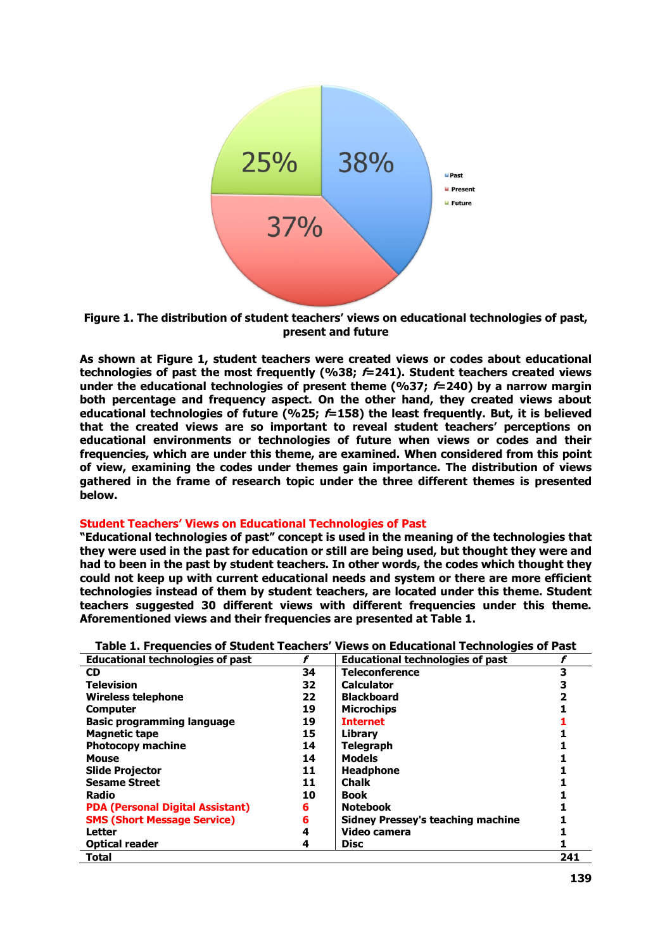



**As shown at Figure 1, student teachers were created views or codes about educational technologies of past the most frequently (%38; f=241). Student teachers created views under the educational technologies of present theme (%37; f=240) by a narrow margin both percentage and frequency aspect. On the other hand, they created views about educational technologies of future (%25; f=158) the least frequently. But, it is believed that the created views are so important to reveal student teachers' perceptions on educational environments or technologies of future when views or codes and their frequencies, which are under this theme, are examined. When considered from this point of view, examining the codes under themes gain importance. The distribution of views gathered in the frame of research topic under the three different themes is presented below.** 

#### **Student Teachers' Views on Educational Technologies of Past**

**"Educational technologies of past" concept is used in the meaning of the technologies that they were used in the past for education or still are being used, but thought they were and had to been in the past by student teachers. In other words, the codes which thought they could not keep up with current educational needs and system or there are more efficient technologies instead of them by student teachers, are located under this theme. Student teachers suggested 30 different views with different frequencies under this theme. Aforementioned views and their frequencies are presented at Table 1.**

| Table 1. Frequencies of Student Teachers' Views on Educational Technologies of Past |    |                                          |     |  |  |
|-------------------------------------------------------------------------------------|----|------------------------------------------|-----|--|--|
| <b>Educational technologies of past</b>                                             |    | <b>Educational technologies of past</b>  |     |  |  |
| CD.                                                                                 | 34 | <b>Teleconference</b>                    |     |  |  |
| <b>Television</b>                                                                   | 32 | <b>Calculator</b>                        |     |  |  |
| Wireless telephone                                                                  | 22 | <b>Blackboard</b>                        |     |  |  |
| <b>Computer</b>                                                                     | 19 | <b>Microchips</b>                        |     |  |  |
| <b>Basic programming language</b>                                                   | 19 | <b>Internet</b>                          |     |  |  |
| <b>Magnetic tape</b>                                                                | 15 | Library                                  |     |  |  |
| <b>Photocopy machine</b>                                                            | 14 | <b>Telegraph</b>                         |     |  |  |
| <b>Mouse</b>                                                                        | 14 | <b>Models</b>                            |     |  |  |
| <b>Slide Projector</b>                                                              | 11 | <b>Headphone</b>                         |     |  |  |
| <b>Sesame Street</b>                                                                | 11 | <b>Chalk</b>                             |     |  |  |
| Radio                                                                               | 10 | <b>Book</b>                              |     |  |  |
| <b>PDA (Personal Digital Assistant)</b>                                             | 6  | <b>Notebook</b>                          |     |  |  |
| <b>SMS (Short Message Service)</b>                                                  | 6  | <b>Sidney Pressey's teaching machine</b> |     |  |  |
| <b>Letter</b>                                                                       |    | Video camera                             |     |  |  |
| <b>Optical reader</b>                                                               | 4  | <b>Disc</b>                              |     |  |  |
| Total                                                                               |    |                                          | 241 |  |  |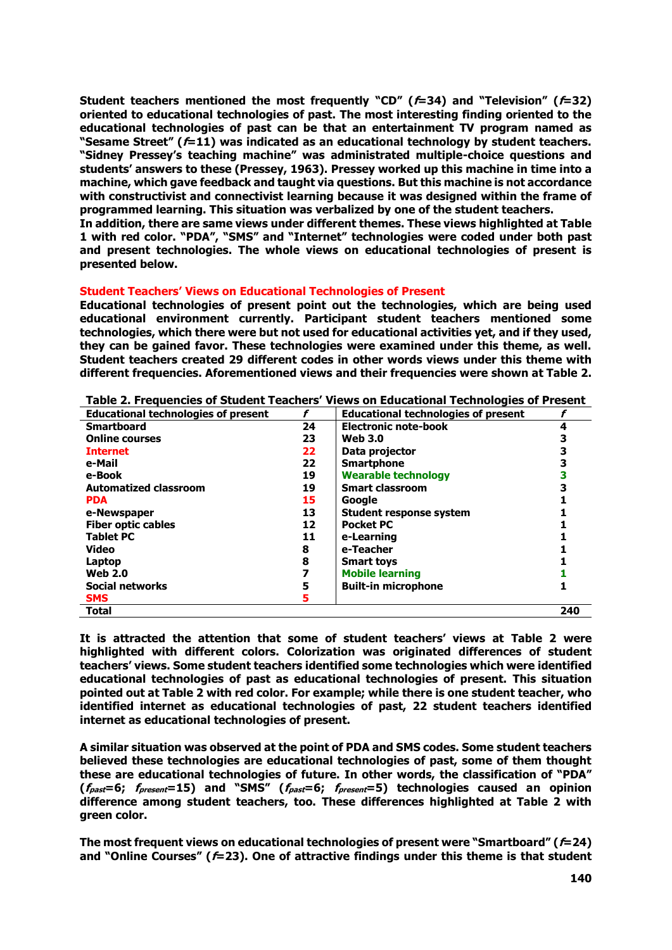**Student teachers mentioned the most frequently "CD" (f=34) and "Television" (f=32) oriented to educational technologies of past. The most interesting finding oriented to the educational technologies of past can be that an entertainment TV program named as "Sesame Street" (f=11) was indicated as an educational technology by student teachers. "Sidney Pressey's teaching machine" was administrated multiple-choice questions and students' answers to these (Pressey, 1963). Pressey worked up this machine in time into a machine, which gave feedback and taught via questions. But this machine is not accordance with constructivist and connectivist learning because it was designed within the frame of programmed learning. This situation was verbalized by one of the student teachers.** 

**In addition, there are same views under different themes. These views highlighted at Table 1 with red color. "PDA", "SMS" and "Internet" technologies were coded under both past and present technologies. The whole views on educational technologies of present is presented below.**

#### **Student Teachers' Views on Educational Technologies of Present**

**Educational technologies of present point out the technologies, which are being used educational environment currently. Participant student teachers mentioned some technologies, which there were but not used for educational activities yet, and if they used, they can be gained favor. These technologies were examined under this theme, as well. Student teachers created 29 different codes in other words views under this theme with different frequencies. Aforementioned views and their frequencies were shown at Table 2.**

| <b>Educational technologies of present</b> |    | <b>Educational technologies of present</b> |     |
|--------------------------------------------|----|--------------------------------------------|-----|
| <b>Smartboard</b>                          | 24 | <b>Electronic note-book</b>                |     |
| <b>Online courses</b>                      | 23 | <b>Web 3.0</b>                             |     |
| <b>Internet</b>                            | 22 | Data projector                             |     |
| e-Mail                                     | 22 | <b>Smartphone</b>                          |     |
| e-Book                                     | 19 | <b>Wearable technology</b>                 |     |
| <b>Automatized classroom</b>               | 19 | <b>Smart classroom</b>                     |     |
| <b>PDA</b>                                 | 15 | Google                                     |     |
| e-Newspaper                                | 13 | <b>Student response system</b>             |     |
| <b>Fiber optic cables</b>                  | 12 | <b>Pocket PC</b>                           |     |
| <b>Tablet PC</b>                           | 11 | e-Learning                                 |     |
| Video                                      | 8  | e-Teacher                                  |     |
| Laptop                                     | 8  | <b>Smart toys</b>                          |     |
| <b>Web 2.0</b>                             |    | <b>Mobile learning</b>                     |     |
| <b>Social networks</b>                     |    | <b>Built-in microphone</b>                 |     |
| <b>SMS</b>                                 | 5  |                                            |     |
| <b>Total</b>                               |    |                                            | 240 |

**Table 2. Frequencies of Student Teachers' Views on Educational Technologies of Present**

**It is attracted the attention that some of student teachers' views at Table 2 were highlighted with different colors. Colorization was originated differences of student teachers' views. Some student teachers identified some technologies which were identified educational technologies of past as educational technologies of present. This situation pointed out at Table 2 with red color. For example; while there is one student teacher, who identified internet as educational technologies of past, 22 student teachers identified internet as educational technologies of present.** 

**A similar situation was observed at the point of PDA and SMS codes. Some student teachers believed these technologies are educational technologies of past, some of them thought these are educational technologies of future. In other words, the classification of "PDA" (fpast=6; fpresent=15) and "SMS" (fpast=6; fpresent=5) technologies caused an opinion difference among student teachers, too. These differences highlighted at Table 2 with green color.**

**The most frequent views on educational technologies of present were "Smartboard" (f=24) and "Online Courses" (f=23). One of attractive findings under this theme is that student**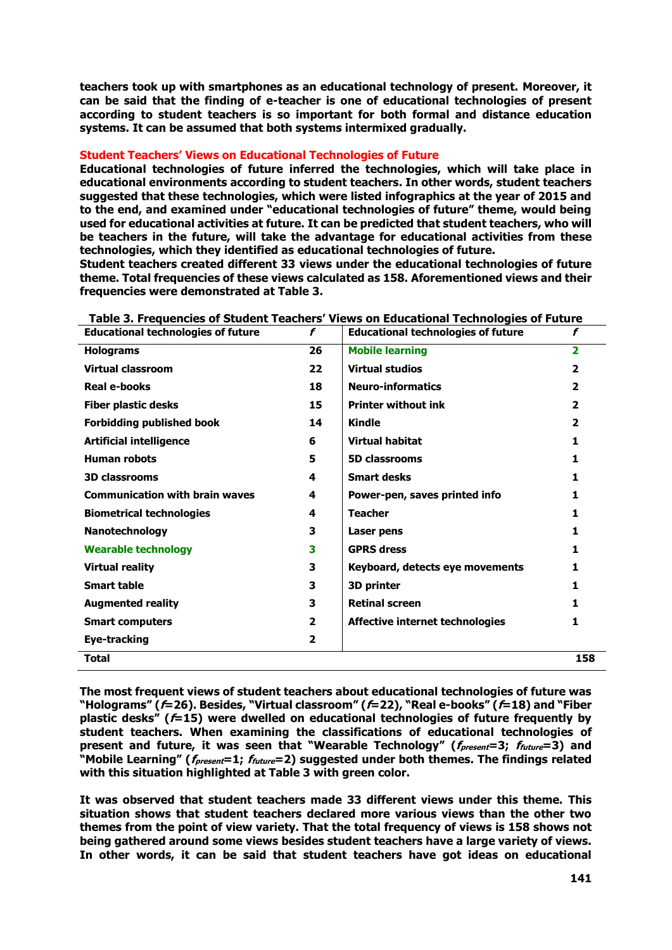**teachers took up with smartphones as an educational technology of present. Moreover, it can be said that the finding of e-teacher is one of educational technologies of present according to student teachers is so important for both formal and distance education systems. It can be assumed that both systems intermixed gradually.** 

# **Student Teachers' Views on Educational Technologies of Future**

**Educational technologies of future inferred the technologies, which will take place in educational environments according to student teachers. In other words, student teachers suggested that these technologies, which were listed infographics at the year of 2015 and to the end, and examined under "educational technologies of future" theme, would being used for educational activities at future. It can be predicted that student teachers, who will be teachers in the future, will take the advantage for educational activities from these technologies, which they identified as educational technologies of future.**

**Student teachers created different 33 views under the educational technologies of future theme. Total frequencies of these views calculated as 158. Aforementioned views and their frequencies were demonstrated at Table 3.** 

| <b>Educational technologies of future</b> | f              | <b>Educational technologies of future</b> | f                       |
|-------------------------------------------|----------------|-------------------------------------------|-------------------------|
| <b>Holograms</b>                          | 26             | <b>Mobile learning</b>                    | $\overline{2}$          |
| Virtual classroom                         | 22             | <b>Virtual studios</b>                    | $\overline{\mathbf{2}}$ |
| <b>Real e-books</b>                       | 18             | <b>Neuro-informatics</b>                  | 2                       |
| <b>Fiber plastic desks</b>                | 15             | <b>Printer without ink</b>                | $\overline{2}$          |
| <b>Forbidding published book</b>          | 14             | <b>Kindle</b>                             | 2                       |
| <b>Artificial intelligence</b>            | 6              | <b>Virtual habitat</b>                    | 1                       |
| <b>Human robots</b>                       | 5              | <b>5D classrooms</b>                      | 1                       |
| <b>3D classrooms</b>                      | 4              | <b>Smart desks</b>                        | 1                       |
| <b>Communication with brain waves</b>     | 4              | Power-pen, saves printed info             | 1                       |
| <b>Biometrical technologies</b>           | 4              | <b>Teacher</b>                            | 1                       |
| Nanotechnology                            | 3              | Laser pens                                | 1                       |
| <b>Wearable technology</b>                | 3              | <b>GPRS dress</b>                         | 1.                      |
| <b>Virtual reality</b>                    | 3              | Keyboard, detects eye movements           | 1                       |
| <b>Smart table</b>                        | 3              | 3D printer                                | 1                       |
| <b>Augmented reality</b>                  | 3              | <b>Retinal screen</b>                     | 1.                      |
| <b>Smart computers</b>                    | $\overline{2}$ | Affective internet technologies           | 1                       |
| <b>Eye-tracking</b>                       | $\mathbf{2}$   |                                           |                         |
| <b>Total</b>                              |                |                                           | 158                     |

**Table 3. Frequencies of Student Teachers' Views on Educational Technologies of Future**

**The most frequent views of student teachers about educational technologies of future was "Holograms" (f=26). Besides, "Virtual classroom" (f=22), "Real e-books" (f=18) and "Fiber plastic desks" (f=15) were dwelled on educational technologies of future frequently by student teachers. When examining the classifications of educational technologies of present and future, it was seen that "Wearable Technology" (fpresent=3; ffuture=3) and "Mobile Learning" (fpresent=1; ffuture=2) suggested under both themes. The findings related with this situation highlighted at Table 3 with green color.**

**It was observed that student teachers made 33 different views under this theme. This situation shows that student teachers declared more various views than the other two themes from the point of view variety. That the total frequency of views is 158 shows not being gathered around some views besides student teachers have a large variety of views. In other words, it can be said that student teachers have got ideas on educational**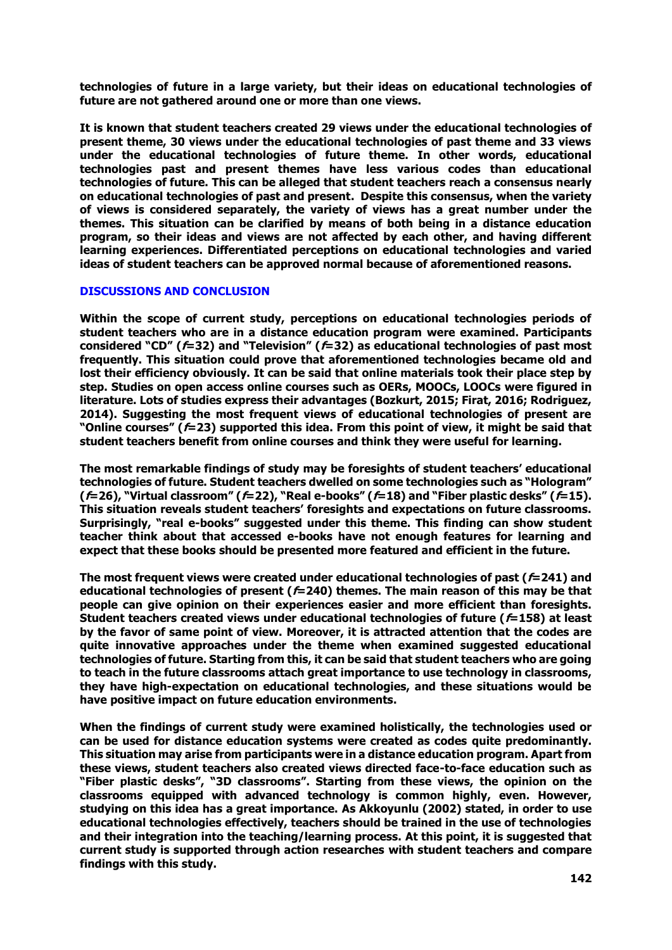**technologies of future in a large variety, but their ideas on educational technologies of future are not gathered around one or more than one views.**

**It is known that student teachers created 29 views under the educational technologies of present theme, 30 views under the educational technologies of past theme and 33 views under the educational technologies of future theme. In other words, educational technologies past and present themes have less various codes than educational technologies of future. This can be alleged that student teachers reach a consensus nearly on educational technologies of past and present. Despite this consensus, when the variety of views is considered separately, the variety of views has a great number under the themes. This situation can be clarified by means of both being in a distance education program, so their ideas and views are not affected by each other, and having different learning experiences. Differentiated perceptions on educational technologies and varied ideas of student teachers can be approved normal because of aforementioned reasons.** 

## **DISCUSSIONS AND CONCLUSION**

**Within the scope of current study, perceptions on educational technologies periods of student teachers who are in a distance education program were examined. Participants considered "CD" (f=32) and "Television" (f=32) as educational technologies of past most frequently. This situation could prove that aforementioned technologies became old and lost their efficiency obviously. It can be said that online materials took their place step by step. Studies on open access online courses such as OERs, MOOCs, LOOCs were figured in literature. Lots of studies express their advantages (Bozkurt, 2015; Firat, 2016; Rodriguez, 2014). Suggesting the most frequent views of educational technologies of present are "Online courses" (f=23) supported this idea. From this point of view, it might be said that student teachers benefit from online courses and think they were useful for learning.**

**The most remarkable findings of study may be foresights of student teachers' educational technologies of future. Student teachers dwelled on some technologies such as "Hologram" (f=26), "Virtual classroom" (f=22), "Real e-books" (f=18) and "Fiber plastic desks" (f=15). This situation reveals student teachers' foresights and expectations on future classrooms. Surprisingly, "real e-books" suggested under this theme. This finding can show student teacher think about that accessed e-books have not enough features for learning and expect that these books should be presented more featured and efficient in the future.** 

**The most frequent views were created under educational technologies of past (f=241) and educational technologies of present (f=240) themes. The main reason of this may be that people can give opinion on their experiences easier and more efficient than foresights. Student teachers created views under educational technologies of future (f=158) at least by the favor of same point of view. Moreover, it is attracted attention that the codes are quite innovative approaches under the theme when examined suggested educational technologies of future. Starting from this, it can be said that student teachers who are going to teach in the future classrooms attach great importance to use technology in classrooms, they have high-expectation on educational technologies, and these situations would be have positive impact on future education environments.**

**When the findings of current study were examined holistically, the technologies used or can be used for distance education systems were created as codes quite predominantly. This situation may arise from participants were in a distance education program. Apart from these views, student teachers also created views directed face-to-face education such as "Fiber plastic desks", "3D classrooms". Starting from these views, the opinion on the classrooms equipped with advanced technology is common highly, even. However, studying on this idea has a great importance. As Akkoyunlu (2002) stated, in order to use educational technologies effectively, teachers should be trained in the use of technologies and their integration into the teaching/learning process. At this point, it is suggested that current study is supported through action researches with student teachers and compare findings with this study.**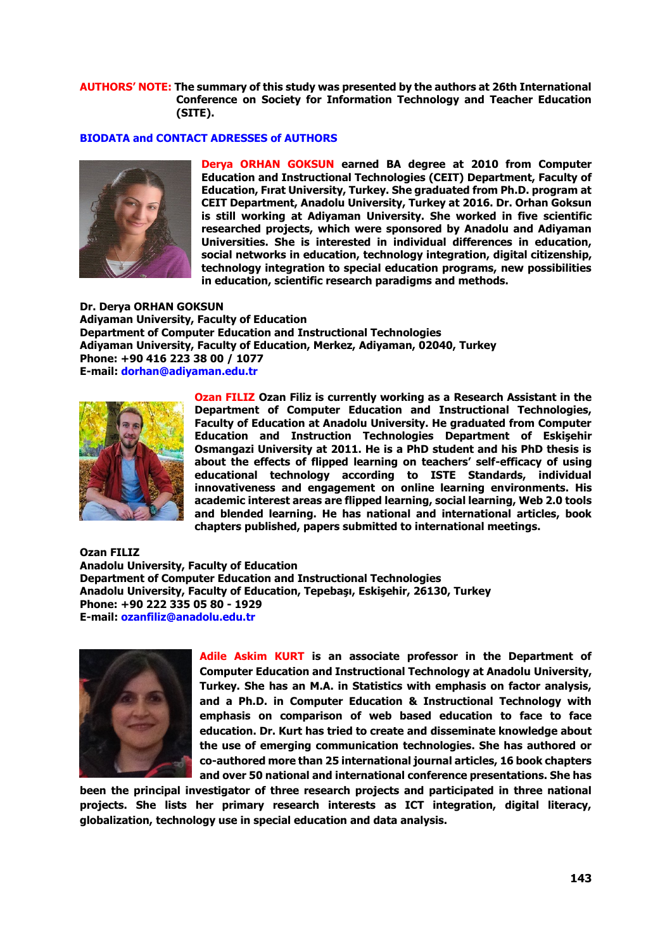## **AUTHORS' NOTE: The summary of this study was presented by the authors at 26th International Conference on Society for Information Technology and Teacher Education (SITE).**

#### **BIODATA and CONTACT ADRESSES of AUTHORS**



**Derya ORHAN GOKSUN earned BA degree at 2010 from Computer Education and Instructional Technologies (CEIT) Department, Faculty of Education, Fırat University, Turkey. She graduated from Ph.D. program at CEIT Department, Anadolu University, Turkey at 2016. Dr. Orhan Goksun is still working at Adiyaman University. She worked in five scientific researched projects, which were sponsored by Anadolu and Adiyaman Universities. She is interested in individual differences in education, social networks in education, technology integration, digital citizenship, technology integration to special education programs, new possibilities in education, scientific research paradigms and methods.**

**Dr. Derya ORHAN GOKSUN Adiyaman University, Faculty of Education Department of Computer Education and Instructional Technologies Adiyaman University, Faculty of Education, Merkez, Adiyaman, 02040, Turkey Phone: +90 416 223 38 00 / 1077 E-mail: dorhan@adiyaman.edu.tr**



**Ozan FILIZ Ozan Filiz is currently working as a Research Assistant in the Department of Computer Education and Instructional Technologies, Faculty of Education at Anadolu University. He graduated from Computer Education and Instruction Technologies Department of Eskişehir Osmangazi University at 2011. He is a PhD student and his PhD thesis is about the effects of flipped learning on teachers' self-efficacy of using educational technology according to ISTE Standards, individual innovativeness and engagement on online learning environments. His academic interest areas are flipped learning, social learning, Web 2.0 tools and blended learning. He has national and international articles, book chapters published, papers submitted to international meetings.**

**Ozan FILIZ Anadolu University, Faculty of Education Department of Computer Education and Instructional Technologies Anadolu University, Faculty of Education, Tepebaşı, Eskişehir, 26130, Turkey Phone: +90 222 335 05 80 - 1929 E-mail: ozanfiliz@anadolu.edu.tr**



**Adile Askim KURT is an associate professor in the Department of Computer Education and Instructional Technology at Anadolu University, Turkey. She has an M.A. in Statistics with emphasis on factor analysis, and a Ph.D. in Computer Education & Instructional Technology with emphasis on comparison of web based education to face to face education. Dr. Kurt has tried to create and disseminate knowledge about the use of emerging communication technologies. She has authored or co-authored more than 25 international journal articles, 16 book chapters and over 50 national and international conference presentations. She has** 

**been the principal investigator of three research projects and participated in three national projects. She lists her primary research interests as ICT integration, digital literacy, globalization, technology use in special education and data analysis.**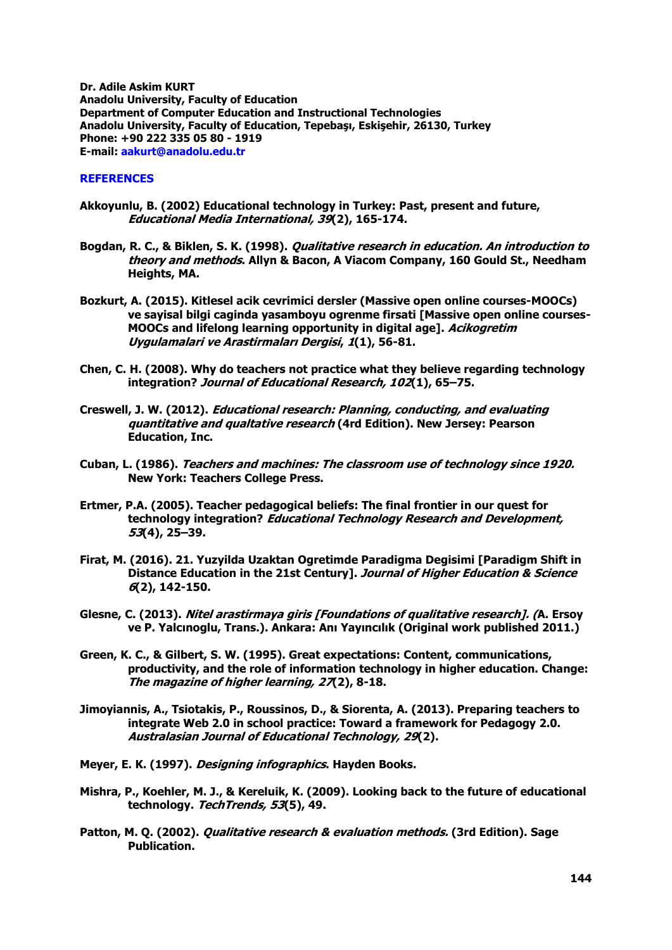**Dr. Adile Askim KURT Anadolu University, Faculty of Education Department of Computer Education and Instructional Technologies Anadolu University, Faculty of Education, Tepebaşı, Eskişehir, 26130, Turkey Phone: +90 222 335 05 80 - 1919 E-mail: aakurt@anadolu.edu.tr**

# **REFERENCES**

- **Akkoyunlu, B. (2002) Educational technology in Turkey: Past, present and future, Educational Media International, 39(2), 165-174.**
- **Bogdan, R. C., & Biklen, S. K. (1998). Qualitative research in education. An introduction to theory and methods. Allyn & Bacon, A Viacom Company, 160 Gould St., Needham Heights, MA.**
- **Bozkurt, A. (2015). Kitlesel acik cevrimici dersler (Massive open online courses-MOOCs) ve sayisal bilgi caginda yasamboyu ogrenme firsati [Massive open online courses-MOOCs and lifelong learning opportunity in digital age]. Acikogretim Uygulamalari ve Arastirmaları Dergisi, 1(1), 56-81.**
- **Chen, C. H. (2008). Why do teachers not practice what they believe regarding technology integration? Journal of Educational Research, 102(1), 65–75.**
- **Creswell, J. W. (2012). Educational research: Planning, conducting, and evaluating quantitative and qualtative research (4rd Edition). New Jersey: Pearson Education, Inc.**
- **Cuban, L. (1986). Teachers and machines: The classroom use of technology since 1920. New York: Teachers College Press.**
- **Ertmer, P.A. (2005). Teacher pedagogical beliefs: The final frontier in our quest for technology integration? Educational Technology Research and Development, 53(4), 25–39.**
- **Firat, M. (2016). 21. Yuzyilda Uzaktan Ogretimde Paradigma Degisimi [Paradigm Shift in Distance Education in the 21st Century]. Journal of Higher Education & Science 6(2), 142-150.**
- **Glesne, C. (2013). Nitel arastirmaya giris [Foundations of qualitative research]. (A. Ersoy ve P. Yalcınoglu, Trans.). Ankara: Anı Yayıncılık (Original work published 2011.)**
- **Green, K. C., & Gilbert, S. W. (1995). Great expectations: Content, communications, productivity, and the role of information technology in higher education. Change: The magazine of higher learning, 27(2), 8-18.**
- **Jimoyiannis, A., Tsiotakis, P., Roussinos, D., & Siorenta, A. (2013). Preparing teachers to integrate Web 2.0 in school practice: Toward a framework for Pedagogy 2.0. Australasian Journal of Educational Technology, 29(2).**
- **Meyer, E. K. (1997). Designing infographics. Hayden Books.**
- **Mishra, P., Koehler, M. J., & Kereluik, K. (2009). Looking back to the future of educational technology. TechTrends, 53(5), 49.**
- **Patton, M. Q. (2002). Qualitative research & evaluation methods. (3rd Edition). Sage Publication.**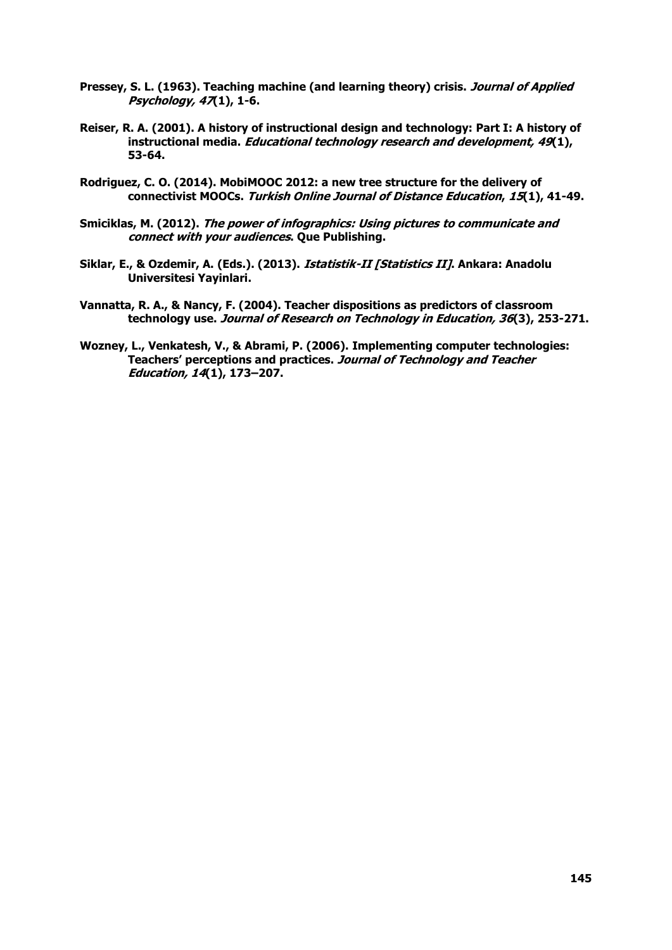- Pressey, S. L. (1963). Teaching machine (and learning theory) crisis. *Journal of Applied* **Psychology, 47(1), 1-6.**
- **Reiser, R. A. (2001). A history of instructional design and technology: Part I: A history of instructional media. Educational technology research and development, 49(1), 53-64.**
- **Rodriguez, C. O. (2014). MobiMOOC 2012: a new tree structure for the delivery of connectivist MOOCs. Turkish Online Journal of Distance Education, 15(1), 41-49.**
- **Smiciklas, M. (2012). The power of infographics: Using pictures to communicate and connect with your audiences. Que Publishing.**
- **Siklar, E., & Ozdemir, A. (Eds.). (2013). Istatistik-II [Statistics II]. Ankara: Anadolu Universitesi Yayinlari.**
- **Vannatta, R. A., & Nancy, F. (2004). Teacher dispositions as predictors of classroom technology use. Journal of Research on Technology in Education, 36(3), 253-271.**
- **Wozney, L., Venkatesh, V., & Abrami, P. (2006). Implementing computer technologies: Teachers' perceptions and practices. Journal of Technology and Teacher Education, 14(1), 173–207.**